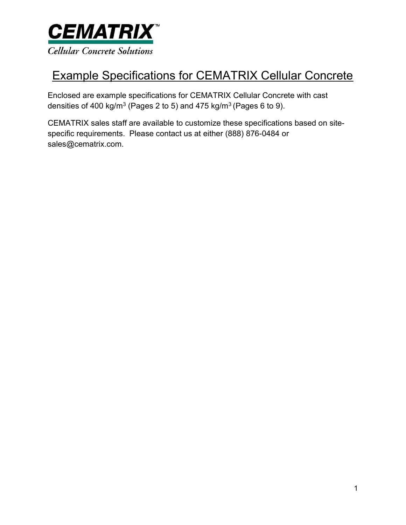

# Example Specifications for CEMATRIX Cellular Concrete

Enclosed are example specifications for CEMATRIX Cellular Concrete with cast densities of 400 kg/m $3$  (Pages 2 to 5) and 475 kg/m $3$  (Pages 6 to 9).

CEMATRIX sales staff are available to customize these specifications based on sitespecific requirements. Please contact us at either (888) 876-0484 or sales@cematrix.com.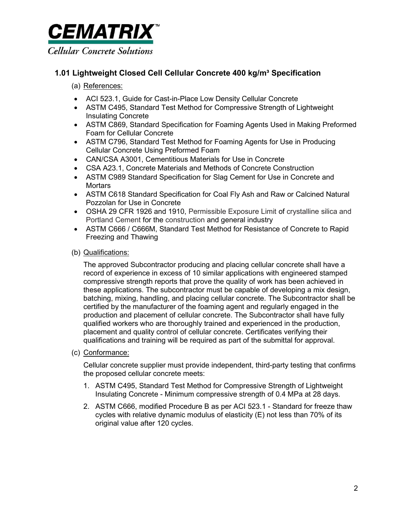

# 1.01 Lightweight Closed Cell Cellular Concrete 400 kg/m<sup>3</sup> Specification

# (a) References:

- ACI 523.1, Guide for Cast-in-Place Low Density Cellular Concrete
- ASTM C495, Standard Test Method for Compressive Strength of Lightweight Insulating Concrete
- ASTM C869, Standard Specification for Foaming Agents Used in Making Preformed Foam for Cellular Concrete
- ASTM C796, Standard Test Method for Foaming Agents for Use in Producing Cellular Concrete Using Preformed Foam
- CAN/CSA A3001, Cementitious Materials for Use in Concrete
- CSA A23.1, Concrete Materials and Methods of Concrete Construction
- ASTM C989 Standard Specification for Slag Cement for Use in Concrete and **Mortars**
- ASTM C618 Standard Specification for Coal Fly Ash and Raw or Calcined Natural Pozzolan for Use in Concrete
- OSHA 29 CFR 1926 and 1910, Permissible Exposure Limit of crystalline silica and Portland Cement for the construction and general industry
- ASTM C666 / C666M, Standard Test Method for Resistance of Concrete to Rapid Freezing and Thawing

# (b) Qualifications:

The approved Subcontractor producing and placing cellular concrete shall have a record of experience in excess of 10 similar applications with engineered stamped compressive strength reports that prove the quality of work has been achieved in these applications. The subcontractor must be capable of developing a mix design, batching, mixing, handling, and placing cellular concrete. The Subcontractor shall be certified by the manufacturer of the foaming agent and regularly engaged in the production and placement of cellular concrete. The Subcontractor shall have fully qualified workers who are thoroughly trained and experienced in the production, placement and quality control of cellular concrete. Certificates verifying their qualifications and training will be required as part of the submittal for approval.

(c) Conformance:

Cellular concrete supplier must provide independent, third-party testing that confirms the proposed cellular concrete meets:

- 1. ASTM C495, Standard Test Method for Compressive Strength of Lightweight Insulating Concrete - Minimum compressive strength of 0.4 MPa at 28 days.
- 2. ASTM C666, modified Procedure B as per ACI 523.1 Standard for freeze thaw cycles with relative dynamic modulus of elasticity (E) not less than 70% of its original value after 120 cycles.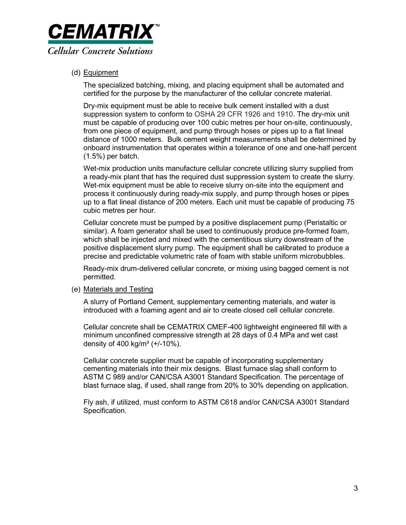

(d) Equipment

The specialized batching, mixing, and placing equipment shall be automated and certified for the purpose by the manufacturer of the cellular concrete material.

Dry-mix equipment must be able to receive bulk cement installed with a dust suppression system to conform to OSHA 29 CFR 1926 and 1910. The dry-mix unit must be capable of producing over 100 cubic metres per hour on-site, continuously, from one piece of equipment, and pump through hoses or pipes up to a flat lineal distance of 1000 meters. Bulk cement weight measurements shall be determined by onboard instrumentation that operates within a tolerance of one and one-half percent (1.5%) per batch.

Wet-mix production units manufacture cellular concrete utilizing slurry supplied from a ready-mix plant that has the required dust suppression system to create the slurry. Wet-mix equipment must be able to receive slurry on-site into the equipment and process it continuously during ready-mix supply, and pump through hoses or pipes up to a flat lineal distance of 200 meters. Each unit must be capable of producing 75 cubic metres per hour.

Cellular concrete must be pumped by a positive displacement pump (Peristaltic or similar). A foam generator shall be used to continuously produce pre-formed foam, which shall be injected and mixed with the cementitious slurry downstream of the positive displacement slurry pump. The equipment shall be calibrated to produce a precise and predictable volumetric rate of foam with stable uniform microbubbles.

Ready-mix drum-delivered cellular concrete, or mixing using bagged cement is not permitted.

(e) Materials and Testing

A slurry of Portland Cement, supplementary cementing materials, and water is introduced with a foaming agent and air to create closed cell cellular concrete.

Cellular concrete shall be CEMATRIX CMEF-400 lightweight engineered fill with a minimum unconfined compressive strength at 28 days of 0.4 MPa and wet cast density of 400 kg/m<sup>3</sup> ( $+/-10%$ ).

Cellular concrete supplier must be capable of incorporating supplementary cementing materials into their mix designs. Blast furnace slag shall conform to ASTM C 989 and/or CAN/CSA A3001 Standard Specification. The percentage of blast furnace slag, if used, shall range from 20% to 30% depending on application.

Fly ash, if utilized, must conform to ASTM C618 and/or CAN/CSA A3001 Standard Specification.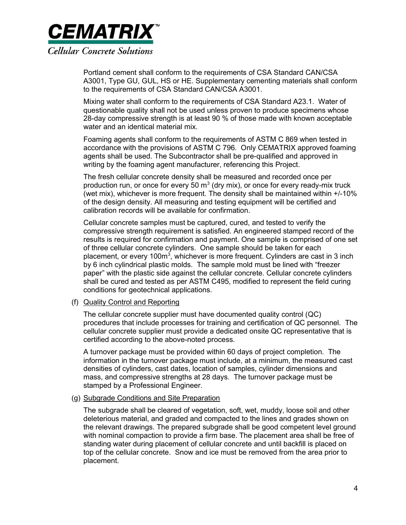

Portland cement shall conform to the requirements of CSA Standard CAN/CSA A3001, Type GU, GUL, HS or HE. Supplementary cementing materials shall conform to the requirements of CSA Standard CAN/CSA A3001.

Mixing water shall conform to the requirements of CSA Standard A23.1. Water of questionable quality shall not be used unless proven to produce specimens whose 28-day compressive strength is at least 90 % of those made with known acceptable water and an identical material mix.

Foaming agents shall conform to the requirements of ASTM C 869 when tested in accordance with the provisions of ASTM C 796. Only CEMATRIX approved foaming agents shall be used. The Subcontractor shall be pre-qualified and approved in writing by the foaming agent manufacturer, referencing this Project.

The fresh cellular concrete density shall be measured and recorded once per production run, or once for every 50  $m<sup>3</sup>$  (dry mix), or once for every ready-mix truck (wet mix), whichever is more frequent. The density shall be maintained within +/-10% of the design density. All measuring and testing equipment will be certified and calibration records will be available for confirmation.

Cellular concrete samples must be captured, cured, and tested to verify the compressive strength requirement is satisfied. An engineered stamped record of the results is required for confirmation and payment. One sample is comprised of one set of three cellular concrete cylinders. One sample should be taken for each placement, or every 100m<sup>3</sup>, whichever is more frequent. Cylinders are cast in 3 inch by 6 inch cylindrical plastic molds. The sample mold must be lined with "freezer paper" with the plastic side against the cellular concrete. Cellular concrete cylinders shall be cured and tested as per ASTM C495, modified to represent the field curing conditions for geotechnical applications.

### (f) Quality Control and Reporting

The cellular concrete supplier must have documented quality control (QC) procedures that include processes for training and certification of QC personnel. The cellular concrete supplier must provide a dedicated onsite QC representative that is certified according to the above-noted process.

A turnover package must be provided within 60 days of project completion. The information in the turnover package must include, at a minimum, the measured cast densities of cylinders, cast dates, location of samples, cylinder dimensions and mass, and compressive strengths at 28 days. The turnover package must be stamped by a Professional Engineer.

### (g) Subgrade Conditions and Site Preparation

The subgrade shall be cleared of vegetation, soft, wet, muddy, loose soil and other deleterious material, and graded and compacted to the lines and grades shown on the relevant drawings. The prepared subgrade shall be good competent level ground with nominal compaction to provide a firm base. The placement area shall be free of standing water during placement of cellular concrete and until backfill is placed on top of the cellular concrete. Snow and ice must be removed from the area prior to placement.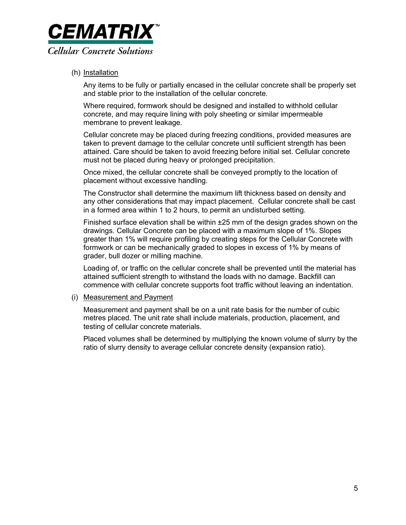

### (h) Installation

Any items to be fully or partially encased in the cellular concrete shall be properly set and stable prior to the installation of the cellular concrete.

Where required, formwork should be designed and installed to withhold cellular concrete, and may require lining with poly sheeting or similar impermeable membrane to prevent leakage.

Cellular concrete may be placed during freezing conditions, provided measures are taken to prevent damage to the cellular concrete until sufficient strength has been attained. Care should be taken to avoid freezing before initial set. Cellular concrete must not be placed during heavy or prolonged precipitation.

Once mixed, the cellular concrete shall be conveyed promptly to the location of placement without excessive handling.

The Constructor shall determine the maximum lift thickness based on density and any other considerations that may impact placement. Cellular concrete shall be cast in a formed area within 1 to 2 hours, to permit an undisturbed setting.

Finished surface elevation shall be within ±25 mm of the design grades shown on the drawings. Cellular Concrete can be placed with a maximum slope of 1%. Slopes greater than 1% will require profiling by creating steps for the Cellular Concrete with formwork or can be mechanically graded to slopes in excess of 1% by means of grader, bull dozer or milling machine.

Loading of, or traffic on the cellular concrete shall be prevented until the material has attained sufficient strength to withstand the loads with no damage. Backfill can commence with cellular concrete supports foot traffic without leaving an indentation.

### (i) Measurement and Payment

Measurement and payment shall be on a unit rate basis for the number of cubic metres placed. The unit rate shall include materials, production, placement, and testing of cellular concrete materials.

Placed volumes shall be determined by multiplying the known volume of slurry by the ratio of slurry density to average cellular concrete density (expansion ratio).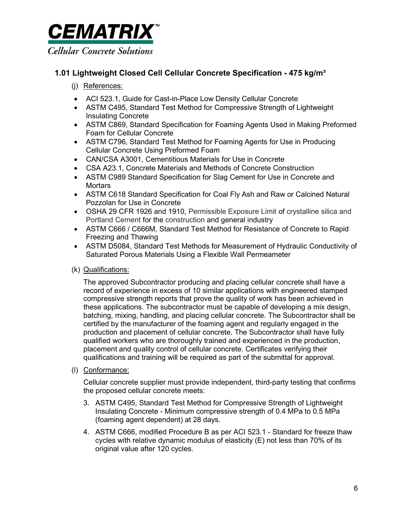

# 1.01 Lightweight Closed Cell Cellular Concrete Specification - 475 kg/m<sup>3</sup>

# (j) References:

- ACI 523.1, Guide for Cast-in-Place Low Density Cellular Concrete
- ASTM C495, Standard Test Method for Compressive Strength of Lightweight Insulating Concrete
- ASTM C869, Standard Specification for Foaming Agents Used in Making Preformed Foam for Cellular Concrete
- ASTM C796, Standard Test Method for Foaming Agents for Use in Producing Cellular Concrete Using Preformed Foam
- CAN/CSA A3001, Cementitious Materials for Use in Concrete
- CSA A23.1, Concrete Materials and Methods of Concrete Construction
- ASTM C989 Standard Specification for Slag Cement for Use in Concrete and **Mortars**
- ASTM C618 Standard Specification for Coal Fly Ash and Raw or Calcined Natural Pozzolan for Use in Concrete
- OSHA 29 CFR 1926 and 1910, Permissible Exposure Limit of crystalline silica and Portland Cement for the construction and general industry
- ASTM C666 / C666M, Standard Test Method for Resistance of Concrete to Rapid Freezing and Thawing
- ASTM D5084, Standard Test Methods for Measurement of Hydraulic Conductivity of Saturated Porous Materials Using a Flexible Wall Permeameter
- (k) Qualifications:

The approved Subcontractor producing and placing cellular concrete shall have a record of experience in excess of 10 similar applications with engineered stamped compressive strength reports that prove the quality of work has been achieved in these applications. The subcontractor must be capable of developing a mix design, batching, mixing, handling, and placing cellular concrete. The Subcontractor shall be certified by the manufacturer of the foaming agent and regularly engaged in the production and placement of cellular concrete. The Subcontractor shall have fully qualified workers who are thoroughly trained and experienced in the production, placement and quality control of cellular concrete. Certificates verifying their qualifications and training will be required as part of the submittal for approval.

(l) Conformance:

Cellular concrete supplier must provide independent, third-party testing that confirms the proposed cellular concrete meets:

- 3. ASTM C495, Standard Test Method for Compressive Strength of Lightweight Insulating Concrete - Minimum compressive strength of 0.4 MPa to 0.5 MPa (foaming agent dependent) at 28 days.
- 4. ASTM C666, modified Procedure B as per ACI 523.1 Standard for freeze thaw cycles with relative dynamic modulus of elasticity (E) not less than 70% of its original value after 120 cycles.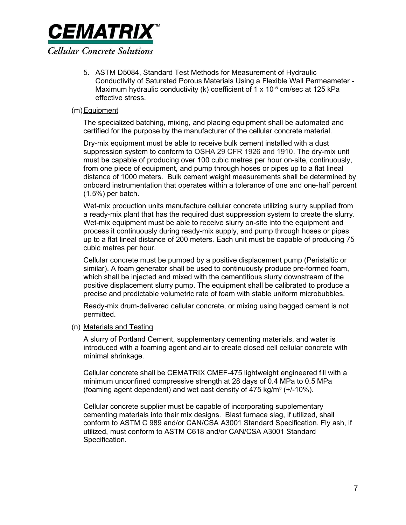

5. ASTM D5084, Standard Test Methods for Measurement of Hydraulic Conductivity of Saturated Porous Materials Using a Flexible Wall Permeameter - Maximum hydraulic conductivity (k) coefficient of 1 x 10<sup>-5</sup> cm/sec at 125 kPa effective stress.

### (m) Equipment

The specialized batching, mixing, and placing equipment shall be automated and certified for the purpose by the manufacturer of the cellular concrete material.

Dry-mix equipment must be able to receive bulk cement installed with a dust suppression system to conform to OSHA 29 CFR 1926 and 1910. The dry-mix unit must be capable of producing over 100 cubic metres per hour on-site, continuously, from one piece of equipment, and pump through hoses or pipes up to a flat lineal distance of 1000 meters. Bulk cement weight measurements shall be determined by onboard instrumentation that operates within a tolerance of one and one-half percent (1.5%) per batch.

Wet-mix production units manufacture cellular concrete utilizing slurry supplied from a ready-mix plant that has the required dust suppression system to create the slurry. Wet-mix equipment must be able to receive slurry on-site into the equipment and process it continuously during ready-mix supply, and pump through hoses or pipes up to a flat lineal distance of 200 meters. Each unit must be capable of producing 75 cubic metres per hour.

Cellular concrete must be pumped by a positive displacement pump (Peristaltic or similar). A foam generator shall be used to continuously produce pre-formed foam, which shall be injected and mixed with the cementitious slurry downstream of the positive displacement slurry pump. The equipment shall be calibrated to produce a precise and predictable volumetric rate of foam with stable uniform microbubbles.

Ready-mix drum-delivered cellular concrete, or mixing using bagged cement is not permitted.

### (n) Materials and Testing

A slurry of Portland Cement, supplementary cementing materials, and water is introduced with a foaming agent and air to create closed cell cellular concrete with minimal shrinkage.

Cellular concrete shall be CEMATRIX CMEF-475 lightweight engineered fill with a minimum unconfined compressive strength at 28 days of 0.4 MPa to 0.5 MPa (foaming agent dependent) and wet cast density of  $475 \text{ kg/m}^3$  (+/-10%).

Cellular concrete supplier must be capable of incorporating supplementary cementing materials into their mix designs. Blast furnace slag, if utilized, shall conform to ASTM C 989 and/or CAN/CSA A3001 Standard Specification. Fly ash, if utilized, must conform to ASTM C618 and/or CAN/CSA A3001 Standard Specification.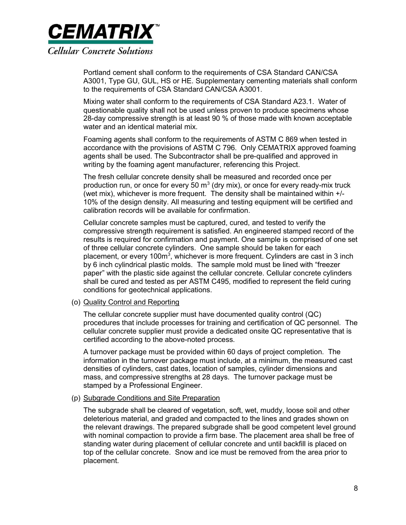

Portland cement shall conform to the requirements of CSA Standard CAN/CSA A3001, Type GU, GUL, HS or HE. Supplementary cementing materials shall conform to the requirements of CSA Standard CAN/CSA A3001.

Mixing water shall conform to the requirements of CSA Standard A23.1. Water of questionable quality shall not be used unless proven to produce specimens whose 28-day compressive strength is at least 90 % of those made with known acceptable water and an identical material mix.

Foaming agents shall conform to the requirements of ASTM C 869 when tested in accordance with the provisions of ASTM C 796. Only CEMATRIX approved foaming agents shall be used. The Subcontractor shall be pre-qualified and approved in writing by the foaming agent manufacturer, referencing this Project.

The fresh cellular concrete density shall be measured and recorded once per production run, or once for every 50  $m<sup>3</sup>$  (dry mix), or once for every ready-mix truck (wet mix), whichever is more frequent. The density shall be maintained within +/- 10% of the design density. All measuring and testing equipment will be certified and calibration records will be available for confirmation.

Cellular concrete samples must be captured, cured, and tested to verify the compressive strength requirement is satisfied. An engineered stamped record of the results is required for confirmation and payment. One sample is comprised of one set of three cellular concrete cylinders. One sample should be taken for each placement, or every 100m<sup>3</sup>, whichever is more frequent. Cylinders are cast in 3 inch by 6 inch cylindrical plastic molds. The sample mold must be lined with "freezer paper" with the plastic side against the cellular concrete. Cellular concrete cylinders shall be cured and tested as per ASTM C495, modified to represent the field curing conditions for geotechnical applications.

### (o) Quality Control and Reporting

The cellular concrete supplier must have documented quality control (QC) procedures that include processes for training and certification of QC personnel. The cellular concrete supplier must provide a dedicated onsite QC representative that is certified according to the above-noted process.

A turnover package must be provided within 60 days of project completion. The information in the turnover package must include, at a minimum, the measured cast densities of cylinders, cast dates, location of samples, cylinder dimensions and mass, and compressive strengths at 28 days. The turnover package must be stamped by a Professional Engineer.

#### (p) Subgrade Conditions and Site Preparation

The subgrade shall be cleared of vegetation, soft, wet, muddy, loose soil and other deleterious material, and graded and compacted to the lines and grades shown on the relevant drawings. The prepared subgrade shall be good competent level ground with nominal compaction to provide a firm base. The placement area shall be free of standing water during placement of cellular concrete and until backfill is placed on top of the cellular concrete. Snow and ice must be removed from the area prior to placement.